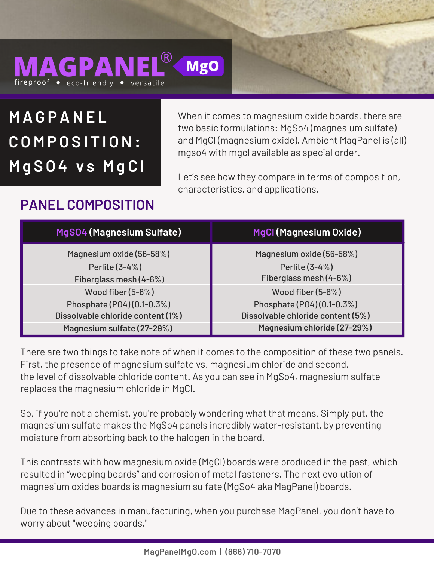### MAGPANEI **MgO** fireproof • eco-friendly • versatile

**M AG PANE L C O M P O S I T I ON: M g S O 4 v s M g C l**

When it comes to magnesium oxide boards, there are two basic formulations: MgSo4 (magnesium sulfate) and MgCl (magnesium oxide). Ambient MagPanel is (all) mgso4 with mgcl available as special order.

Let's see how they compare in terms of composition, characteristics, and applications.

### **PANEL COMPOSITION**

| MgS04 (Magnesium Sulfate)         | <b>MgCl (Magnesium Oxide)</b>     |
|-----------------------------------|-----------------------------------|
| Magnesium oxide (56-58%)          | Magnesium oxide (56-58%)          |
| Perlite (3-4%)                    | Perlite (3-4%)                    |
| Fiberglass mesh (4-6%)            | Fiberglass mesh (4-6%)            |
| Wood fiber $(5-6%)$               | Wood fiber $(5-6%)$               |
| Phosphate (P04) (0.1-0.3%)        | Phosphate (P04) (0.1-0.3%)        |
| Dissolvable chloride content (1%) | Dissolvable chloride content (5%) |
| Magnesium sulfate (27-29%)        | Magnesium chloride (27-29%)       |

There are two things to take note of when it comes to the composition of these two panels. First, the presence of magnesium sulfate vs. magnesium chloride and second, the level of dissolvable chloride content. As you can see in MgSo4, magnesium sulfate replaces the magnesium chloride in MgCl.

So, if you're not a chemist, you're probably wondering what that means. Simply put, the magnesium sulfate makes the MgSo4 panels incredibly water-resistant, by preventing moisture from absorbing back to the halogen in the board.

This contrasts with how magnesium oxide (MgCl) boards were produced in the past, which resulted in "weeping boards" and corrosion of metal fasteners. The next evolution of magnesium oxides boards is magnesium sulfate (MgSo4 aka MagPanel) boards.

Due to these advances in manufacturing, when you purchase MagPanel, you don't have to worry about "weeping boards."